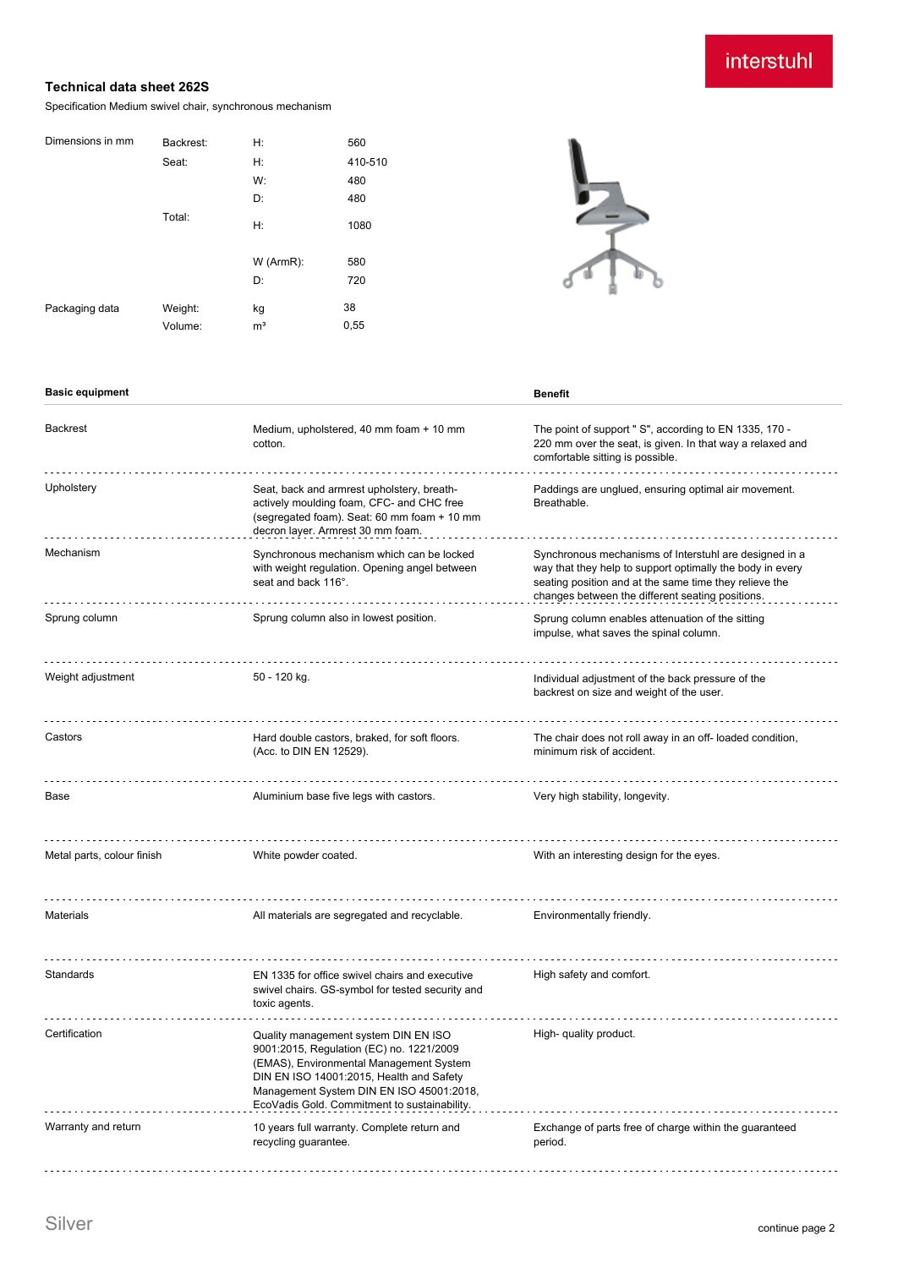# interstuhl

#### **Technical data sheet 262S**

Specification Medium swivel chair, synchronous mechanism

| Backrest: | H:             | 560     |
|-----------|----------------|---------|
| Seat:     | H:             | 410-510 |
|           | W:             | 480     |
|           | D:             | 480     |
| Total:    | H:             | 1080    |
|           | W (ArmR):      | 580     |
|           | D:             | 720     |
| Weight:   | kg             | 38      |
| Volume:   | m <sup>3</sup> | 0,55    |
|           |                |         |



#### **Basic equipment Benefit**

| <b>Backrest</b>            | Medium, upholstered, 40 mm foam + 10 mm<br>cotton.                                                                                                                                                                                                                  | The point of support " S", according to EN 1335, 170 -<br>220 mm over the seat, is given. In that way a relaxed and<br>comfortable sitting is possible.                                                                           |
|----------------------------|---------------------------------------------------------------------------------------------------------------------------------------------------------------------------------------------------------------------------------------------------------------------|-----------------------------------------------------------------------------------------------------------------------------------------------------------------------------------------------------------------------------------|
| Upholstery                 | Seat, back and armrest upholstery, breath-<br>actively moulding foam, CFC- and CHC free<br>(segregated foam). Seat: 60 mm foam + 10 mm<br>decron layer. Armrest 30 mm foam.                                                                                         | Paddings are unglued, ensuring optimal air movement.<br>Breathable.                                                                                                                                                               |
| Mechanism                  | Synchronous mechanism which can be locked<br>with weight regulation. Opening angel between<br>seat and back 116°.                                                                                                                                                   | Synchronous mechanisms of Interstuhl are designed in a<br>way that they help to support optimally the body in every<br>seating position and at the same time they relieve the<br>changes between the different seating positions. |
| Sprung column              | Sprung column also in lowest position.                                                                                                                                                                                                                              | Sprung column enables attenuation of the sitting<br>impulse, what saves the spinal column.                                                                                                                                        |
| Weight adjustment          | 50 - 120 kg.                                                                                                                                                                                                                                                        | Individual adjustment of the back pressure of the<br>backrest on size and weight of the user.                                                                                                                                     |
| Castors                    | Hard double castors, braked, for soft floors.<br>(Acc. to DIN EN 12529).                                                                                                                                                                                            | The chair does not roll away in an off-loaded condition,<br>minimum risk of accident.                                                                                                                                             |
| Base                       | Aluminium base five legs with castors.                                                                                                                                                                                                                              | Very high stability, longevity.                                                                                                                                                                                                   |
| Metal parts, colour finish | White powder coated.                                                                                                                                                                                                                                                | With an interesting design for the eyes.                                                                                                                                                                                          |
| <b>Materials</b>           | All materials are segregated and recyclable.                                                                                                                                                                                                                        | Environmentally friendly.                                                                                                                                                                                                         |
| Standards                  | EN 1335 for office swivel chairs and executive<br>swivel chairs. GS-symbol for tested security and<br>toxic agents.                                                                                                                                                 | High safety and comfort.                                                                                                                                                                                                          |
| Certification              | Quality management system DIN EN ISO<br>9001:2015, Regulation (EC) no. 1221/2009<br>(EMAS), Environmental Management System<br>DIN EN ISO 14001:2015, Health and Safety<br>Management System DIN EN ISO 45001:2018,<br>EcoVadis Gold. Commitment to sustainability. | High- quality product.                                                                                                                                                                                                            |
| Warranty and return        | 10 years full warranty. Complete return and<br>recycling guarantee.                                                                                                                                                                                                 | Exchange of parts free of charge within the guaranteed<br>period.                                                                                                                                                                 |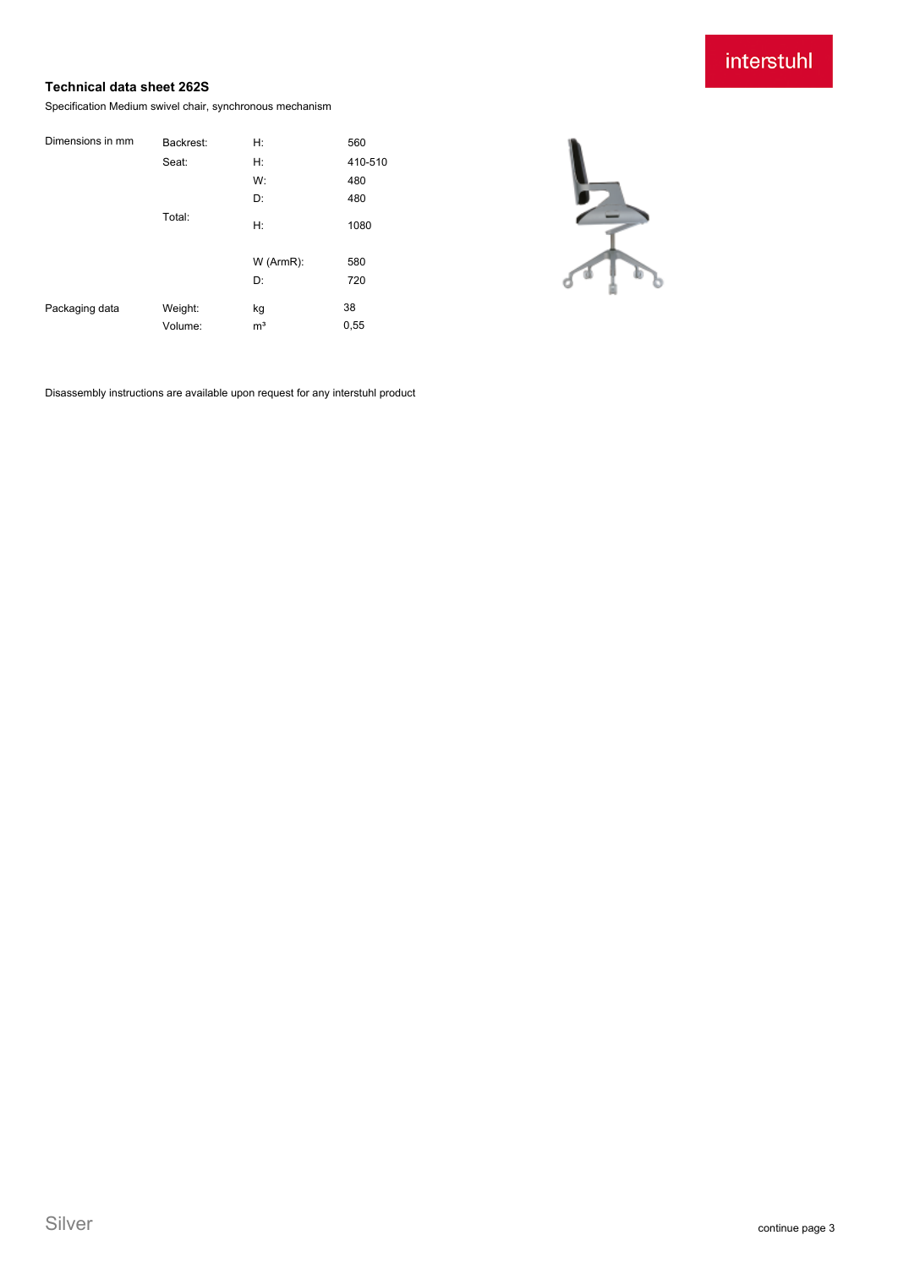### interstuhl

### **Technical data sheet 262S**

Specification Medium swivel chair, synchronous mechanism

| Backrest:          | H:                   | 560        |
|--------------------|----------------------|------------|
| Seat:              | H:                   | 410-510    |
|                    | W:                   | 480        |
|                    | D:                   | 480        |
| Total:             | Н:                   | 1080       |
|                    | W (ArmR):            | 580        |
|                    | D:                   | 720        |
| Weight:<br>Volume: | kg<br>m <sup>3</sup> | 38<br>0,55 |
|                    |                      |            |



Disassembly instructions are available upon request for any interstuhl product